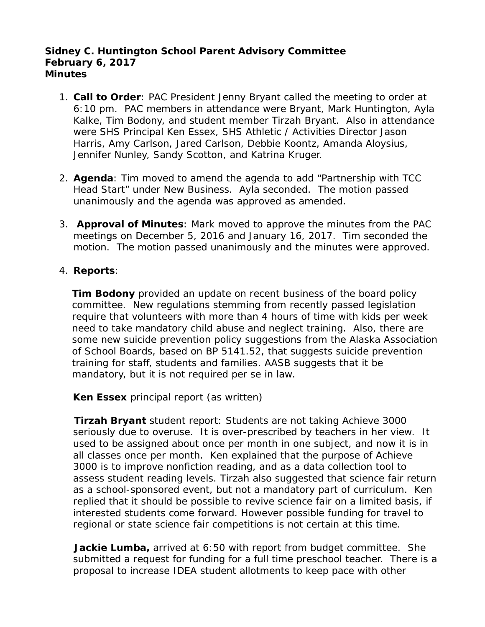## **Sidney C. Huntington School Parent Advisory Committee February 6, 2017 Minutes**

- 1. **Call to Order**: PAC President Jenny Bryant called the meeting to order at 6:10 pm. PAC members in attendance were Bryant, Mark Huntington, Ayla Kalke, Tim Bodony, and student member Tirzah Bryant. Also in attendance were SHS Principal Ken Essex, SHS Athletic / Activities Director Jason Harris, Amy Carlson, Jared Carlson, Debbie Koontz, Amanda Aloysius, Jennifer Nunley, Sandy Scotton, and Katrina Kruger.
- 2. **Agenda**: Tim moved to amend the agenda to add "Partnership with TCC Head Start" under New Business. Ayla seconded. The motion passed unanimously and the agenda was approved as amended.
- 3. **Approval of Minutes**: Mark moved to approve the minutes from the PAC meetings on December 5, 2016 and January 16, 2017. Tim seconded the motion. The motion passed unanimously and the minutes were approved.

# 4. **Reports**:

**Tim Bodony** provided an update on recent business of the board policy committee. New regulations stemming from recently passed legislation require that volunteers with more than 4 hours of time with kids per week need to take mandatory child abuse and neglect training. Also, there are some new suicide prevention policy suggestions from the Alaska Association of School Boards, based on BP 5141.52, that suggests suicide prevention training for staff, students and families. AASB suggests that it be mandatory, but it is not required per se in law.

**Ken Essex** principal report (as written)

**Tirzah Bryant** student report: Students are not taking Achieve 3000 seriously due to overuse. It is over-prescribed by teachers in her view. It used to be assigned about once per month in one subject, and now it is in all classes once per month. Ken explained that the purpose of Achieve 3000 is to improve nonfiction reading, and as a data collection tool to assess student reading levels. Tirzah also suggested that science fair return as a school-sponsored event, but not a mandatory part of curriculum. Ken replied that it should be possible to revive science fair on a limited basis, if interested students come forward. However possible funding for travel to regional or state science fair competitions is not certain at this time.

**Jackie Lumba,** arrived at 6:50 with report from budget committee. She submitted a request for funding for a full time preschool teacher. There is a proposal to increase IDEA student allotments to keep pace with other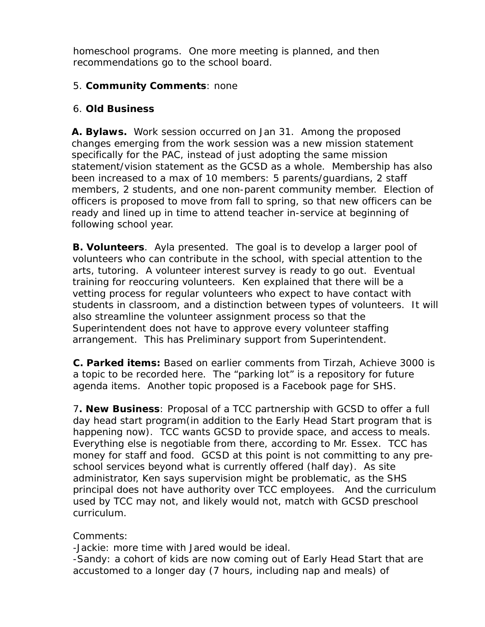homeschool programs. One more meeting is planned, and then recommendations go to the school board.

# 5. **Community Comments**: none

# 6. **Old Business**

**A. Bylaws.** Work session occurred on Jan 31. Among the proposed changes emerging from the work session was a new mission statement specifically for the PAC, instead of just adopting the same mission statement/vision statement as the GCSD as a whole. Membership has also been increased to a max of 10 members: 5 parents/guardians, 2 staff members, 2 students, and one non-parent community member. Election of officers is proposed to move from fall to spring, so that new officers can be ready and lined up in time to attend teacher in-service at beginning of following school year.

**B. Volunteers**. Ayla presented. The goal is to develop a larger pool of volunteers who can contribute in the school, with special attention to the arts, tutoring. A volunteer interest survey is ready to go out. Eventual training for reoccuring volunteers. Ken explained that there will be a vetting process for regular volunteers who expect to have contact with students in classroom, and a distinction between types of volunteers. It will also streamline the volunteer assignment process so that the Superintendent does not have to approve every volunteer staffing arrangement. This has Preliminary support from Superintendent.

 **C. Parked items:** Based on earlier comments from Tirzah, Achieve 3000 is a topic to be recorded here. The "parking lot" is a repository for future agenda items. Another topic proposed is a Facebook page for SHS.

 7**. New Business**: Proposal of a TCC partnership with GCSD to offer a full day head start program(in addition to the Early Head Start program that is happening now). TCC wants GCSD to provide space, and access to meals. Everything else is negotiable from there, according to Mr. Essex. TCC has money for staff and food. GCSD at this point is not committing to any pre school services beyond what is currently offered (half day). As site administrator, Ken says supervision might be problematic, as the SHS principal does not have authority over TCC employees. And the curriculum used by TCC may not, and likely would not, match with GCSD preschool curriculum.

# Comments:

-Jackie: more time with Jared would be ideal.

 -Sandy: a cohort of kids are now coming out of Early Head Start that are accustomed to a longer day (7 hours, including nap and meals) of